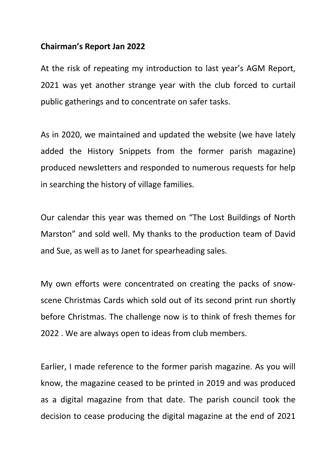## **Chairman's Report Jan 2022**

At the risk of repeating my introduction to last year's AGM Report, 2021 was yet another strange year with the club forced to curtail public gatherings and to concentrate on safer tasks.

As in 2020, we maintained and updated the website (we have lately added the History Snippets from the former parish magazine) produced newsletters and responded to numerous requests for help in searching the history of village families.

Our calendar this year was themed on "The Lost Buildings of North Marston" and sold well. My thanks to the production team of David and Sue, as well as to Janet for spearheading sales.

My own efforts were concentrated on creating the packs of snowscene Christmas Cards which sold out of its second print run shortly before Christmas. The challenge now is to think of fresh themes for 2022 . We are always open to ideas from club members.

Earlier, I made reference to the former parish magazine. As you will know, the magazine ceased to be printed in 2019 and was produced as a digital magazine from that date. The parish council took the decision to cease producing the digital magazine at the end of 2021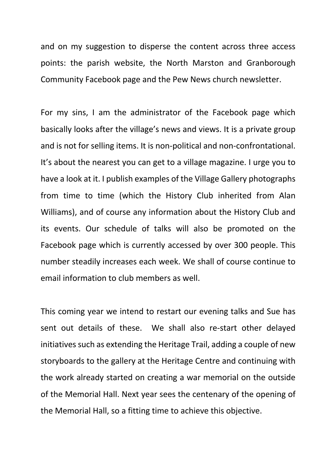and on my suggestion to disperse the content across three access points: the parish website, the North Marston and Granborough Community Facebook page and the Pew News church newsletter.

For my sins, I am the administrator of the Facebook page which basically looks after the village's news and views. It is a private group and is not for selling items. It is non-political and non-confrontational. It's about the nearest you can get to a village magazine. I urge you to have a look at it. I publish examples of the Village Gallery photographs from time to time (which the History Club inherited from Alan Williams), and of course any information about the History Club and its events. Our schedule of talks will also be promoted on the Facebook page which is currently accessed by over 300 people. This number steadily increases each week. We shall of course continue to email information to club members as well.

This coming year we intend to restart our evening talks and Sue has sent out details of these. We shall also re-start other delayed initiatives such as extending the Heritage Trail, adding a couple of new storyboards to the gallery at the Heritage Centre and continuing with the work already started on creating a war memorial on the outside of the Memorial Hall. Next year sees the centenary of the opening of the Memorial Hall, so a fitting time to achieve this objective.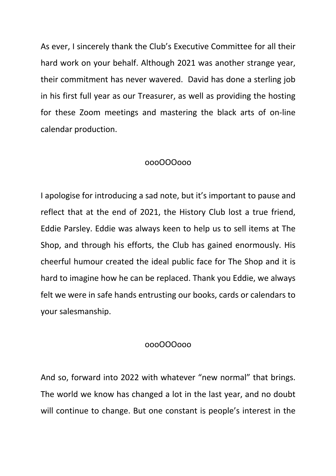As ever, I sincerely thank the Club's Executive Committee for all their hard work on your behalf. Although 2021 was another strange year, their commitment has never wavered. David has done a sterling job in his first full year as our Treasurer, as well as providing the hosting for these Zoom meetings and mastering the black arts of on-line calendar production.

## oooOOOooo

I apologise for introducing a sad note, but it's important to pause and reflect that at the end of 2021, the History Club lost a true friend, Eddie Parsley. Eddie was always keen to help us to sell items at The Shop, and through his efforts, the Club has gained enormously. His cheerful humour created the ideal public face for The Shop and it is hard to imagine how he can be replaced. Thank you Eddie, we always felt we were in safe hands entrusting our books, cards or calendars to your salesmanship.

## oooOOOooo

And so, forward into 2022 with whatever "new normal" that brings. The world we know has changed a lot in the last year, and no doubt will continue to change. But one constant is people's interest in the